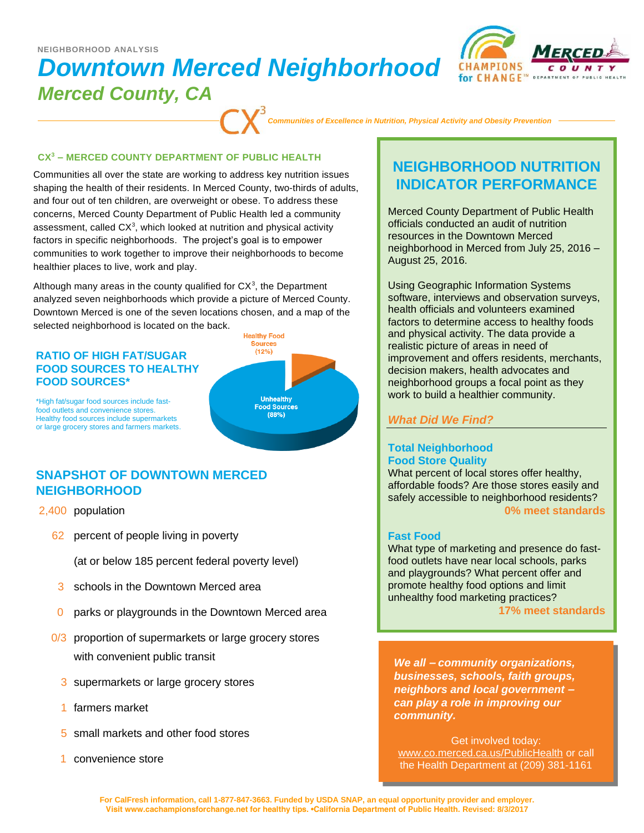# *Downtown Merced Neighborhood*



# *Merced County, CA*

*Communities of Excellence in Nutrition, Physical Activity and Obesity Prevention*

#### **CX<sup>3</sup> – MERCED COUNTY DEPARTMENT OF PUBLIC HEALTH**

Communities all over the state are working to address key nutrition issues shaping the health of their residents. In Merced County, two-thirds of adults, and four out of ten children, are overweight or obese. To address these concerns, Merced County Department of Public Health led a community assessment, called  $CX<sup>3</sup>$ , which looked at nutrition and physical activity factors in specific neighborhoods. The project's goal is to empower communities to work together to improve their neighborhoods to become healthier places to live, work and play.

Although many areas in the county qualified for  $CX<sup>3</sup>$ , the Department analyzed seven neighborhoods which provide a picture of Merced County. Downtown Merced is one of the seven locations chosen, and a map of the selected neighborhood is located on the back.

#### **RATIO OF HIGH FAT/SUGAR FOOD SOURCES TO HEALTHY FOOD SOURCES\***

**Healthy Food** Sources  $(12%$ **Unhealthy Food Sources**  $(88%)$ 

\*High fat/sugar food sources include fastfood outlets and convenience stores. Healthy food sources include supermarkets or large grocery stores and farmers markets.

# **SNAPSHOT OF DOWNTOWN MERCED NEIGHBORHOOD**

- 2,400 population
	- 62 percent of people living in poverty

(at or below 185 percent federal poverty level)

- 3 schools in the Downtown Merced area
- 0 parks or playgrounds in the Downtown Merced area
- 0/3 proportion of supermarkets or large grocery stores with convenient public transit
	- 3 supermarkets or large grocery stores
	- 1 farmers market
	- 5 small markets and other food stores
	- 1 convenience store

# **NEIGHBORHOOD NUTRITION INDICATOR PERFORMANCE**

Merced County Department of Public Health officials conducted an audit of nutrition resources in the Downtown Merced neighborhood in Merced from July 25, 2016 – August 25, 2016.

Using Geographic Information Systems software, interviews and observation surveys, health officials and volunteers examined factors to determine access to healthy foods and physical activity. The data provide a realistic picture of areas in need of improvement and offers residents, merchants, decision makers, health advocates and neighborhood groups a focal point as they work to build a healthier community.

# *What Did We Find?*

## **Total Neighborhood Food Store Quality**

What percent of local stores offer healthy, affordable foods? Are those stores easily and safely accessible to neighborhood residents? **0% meet standards**

## **Fast Food**

What type of marketing and presence do fastfood outlets have near local schools, parks and playgrounds? What percent offer and promote healthy food options and limit unhealthy food marketing practices?

**17% meet standards**

*We all – community organizations, businesses, schools, faith groups, neighbors and local government – can play a role in improving our community.* 

Get involved today: www.co.merced.ca.us/PublicHealth or call the Health Department at (209) 381-1161